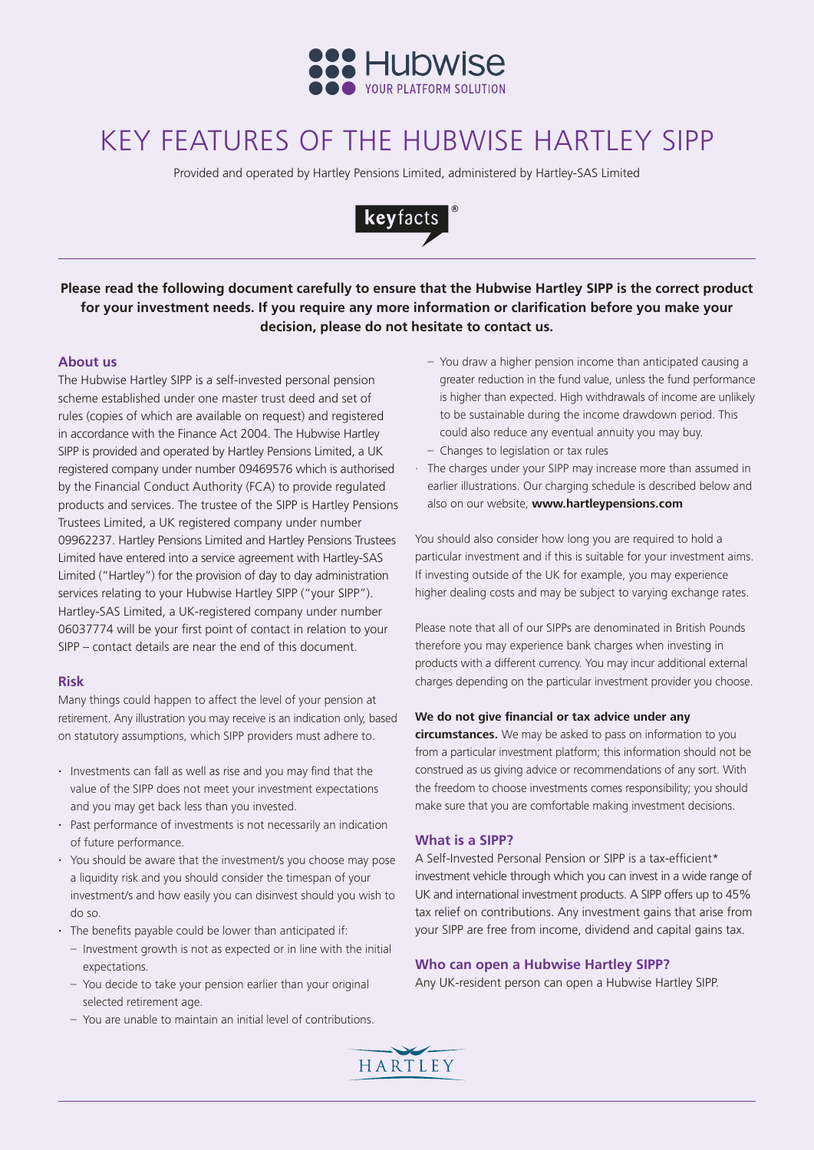

# KEY FEATURES OF THE HUBWISE HARTLEY SIPP

Provided and operated by Hartley Pensions Limited, administered by Hartley-SAS Limited



**Please read the following document carefully to ensure that the Hubwise Hartley SIPP is the correct product for your investment needs. If you require any more information or clarification before you make your decision, please do not hesitate to contact us.**

## **About us**

The Hubwise Hartley SIPP is a self-invested personal pension scheme established under one master trust deed and set of rules (copies of which are available on request) and registered in accordance with the Finance Act 2004. The Hubwise Hartley SIPP is provided and operated by Hartley Pensions Limited, a UK registered company under number 09469576 which is authorised by the Financial Conduct Authority (FCA) to provide regulated products and services. The trustee of the SIPP is Hartley Pensions Trustees Limited, a UK registered company under number 09962237. Hartley Pensions Limited and Hartley Pensions Trustees Limited have entered into a service agreement with Hartley-SAS Limited ("Hartley") for the provision of day to day administration services relating to your Hubwise Hartley SIPP ("your SIPP"). Hartley-SAS Limited, a UK-registered company under number 06037774 will be your first point of contact in relation to your SIPP – contact details are near the end of this document.

#### **Risk**

Many things could happen to affect the level of your pension at retirement. Any illustration you may receive is an indication only, based on statutory assumptions, which SIPP providers must adhere to.

- **·** Investments can fall as well as rise and you may find that the value of the SIPP does not meet your investment expectations and you may get back less than you invested.
- **·** Past performance of investments is not necessarily an indication of future performance.
- **·** You should be aware that the investment/s you choose may pose a liquidity risk and you should consider the timespan of your investment/s and how easily you can disinvest should you wish to do so.
- **·** The benefits payable could be lower than anticipated if:
	- Investment growth is not as expected or in line with the initial expectations.
	- You decide to take your pension earlier than your original selected retirement age.
	- You are unable to maintain an initial level of contributions.
- You draw a higher pension income than anticipated causing a greater reduction in the fund value, unless the fund performance is higher than expected. High withdrawals of income are unlikely to be sustainable during the income drawdown period. This could also reduce any eventual annuity you may buy. – Changes to legislation or tax rules
- · The charges under your SIPP may increase more than assumed in earlier illustrations. Our charging schedule is described below and also on our website, **www.hartleypensions.com**

You should also consider how long you are required to hold a particular investment and if this is suitable for your investment aims. If investing outside of the UK for example, you may experience higher dealing costs and may be subject to varying exchange rates.

Please note that all of our SIPPs are denominated in British Pounds therefore you may experience bank charges when investing in products with a different currency. You may incur additional external charges depending on the particular investment provider you choose.

## **We do not give financial or tax advice under any**

**circumstances.** We may be asked to pass on information to you from a particular investment platform; this information should not be construed as us giving advice or recommendations of any sort. With the freedom to choose investments comes responsibility; you should make sure that you are comfortable making investment decisions.

## **What is a SIPP?**

A Self-Invested Personal Pension or SIPP is a tax-efficient\* investment vehicle through which you can invest in a wide range of UK and international investment products. A SIPP offers up to 45% tax relief on contributions. Any investment gains that arise from your SIPP are free from income, dividend and capital gains tax.

## **Who can open a Hubwise Hartley SIPP?**

Any UK-resident person can open a Hubwise Hartley SIPP.

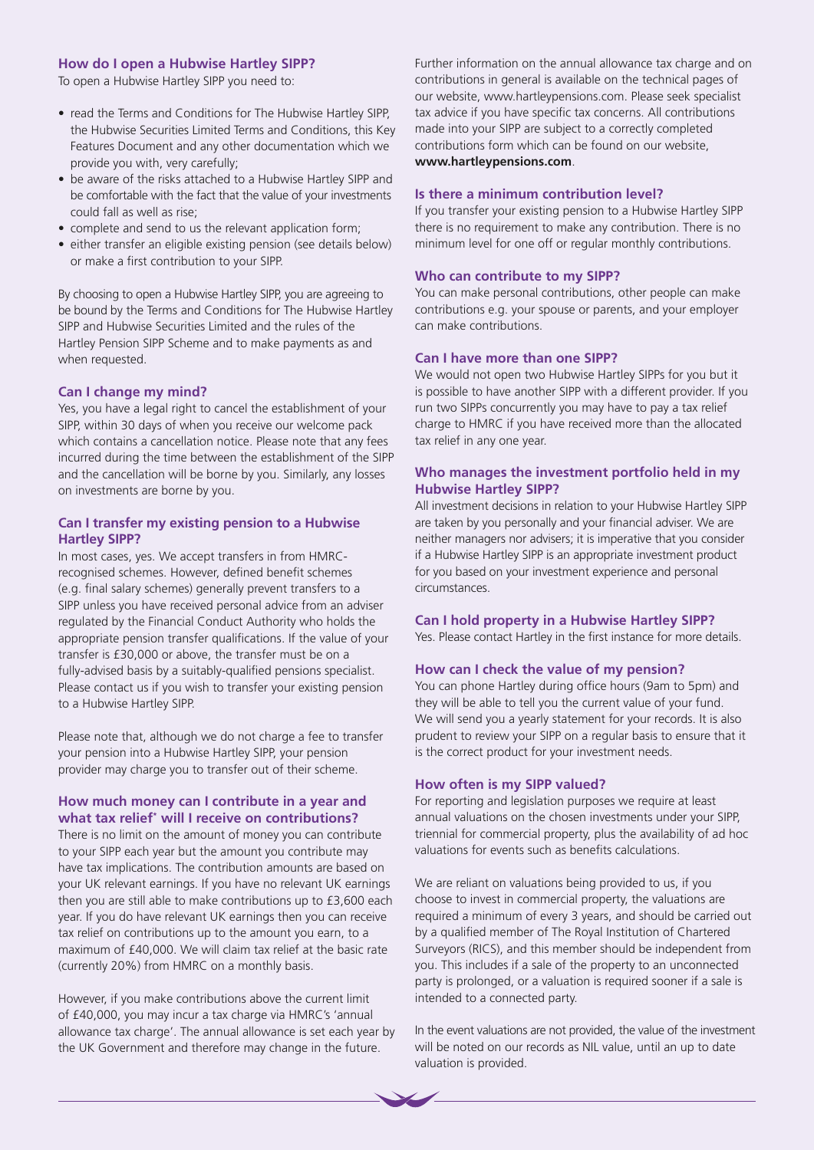## **How do I open a Hubwise Hartley SIPP?**

To open a Hubwise Hartley SIPP you need to:

- read the Terms and Conditions for The Hubwise Hartley SIPP, the Hubwise Securities Limited Terms and Conditions, this Key Features Document and any other documentation which we provide you with, very carefully;
- be aware of the risks attached to a Hubwise Hartley SIPP and be comfortable with the fact that the value of your investments could fall as well as rise;
- complete and send to us the relevant application form;
- either transfer an eligible existing pension (see details below) or make a first contribution to your SIPP.

By choosing to open a Hubwise Hartley SIPP, you are agreeing to be bound by the Terms and Conditions for The Hubwise Hartley SIPP and Hubwise Securities Limited and the rules of the Hartley Pension SIPP Scheme and to make payments as and when requested.

#### **Can I change my mind?**

Yes, you have a legal right to cancel the establishment of your SIPP, within 30 days of when you receive our welcome pack which contains a cancellation notice. Please note that any fees incurred during the time between the establishment of the SIPP and the cancellation will be borne by you. Similarly, any losses on investments are borne by you.

## **Can I transfer my existing pension to a Hubwise Hartley SIPP?**

In most cases, yes. We accept transfers in from HMRCrecognised schemes. However, defined benefit schemes (e.g. final salary schemes) generally prevent transfers to a SIPP unless you have received personal advice from an adviser regulated by the Financial Conduct Authority who holds the appropriate pension transfer qualifications. If the value of your transfer is £30,000 or above, the transfer must be on a fully-advised basis by a suitably-qualified pensions specialist. Please contact us if you wish to transfer your existing pension to a Hubwise Hartley SIPP.

Please note that, although we do not charge a fee to transfer your pension into a Hubwise Hartley SIPP, your pension provider may charge you to transfer out of their scheme.

## **How much money can I contribute in a year and what tax relief\* will I receive on contributions?**

There is no limit on the amount of money you can contribute to your SIPP each year but the amount you contribute may have tax implications. The contribution amounts are based on your UK relevant earnings. If you have no relevant UK earnings then you are still able to make contributions up to £3,600 each year. If you do have relevant UK earnings then you can receive tax relief on contributions up to the amount you earn, to a maximum of £40,000. We will claim tax relief at the basic rate (currently 20%) from HMRC on a monthly basis.

However, if you make contributions above the current limit of £40,000, you may incur a tax charge via HMRC's 'annual allowance tax charge'. The annual allowance is set each year by the UK Government and therefore may change in the future.

Further information on the annual allowance tax charge and on contributions in general is available on the technical pages of our website, www.hartleypensions.com. Please seek specialist tax advice if you have specific tax concerns. All contributions made into your SIPP are subject to a correctly completed contributions form which can be found on our website, **www.hartleypensions.com**.

## **Is there a minimum contribution level?**

If you transfer your existing pension to a Hubwise Hartley SIPP there is no requirement to make any contribution. There is no minimum level for one off or regular monthly contributions.

## **Who can contribute to my SIPP?**

You can make personal contributions, other people can make contributions e.g. your spouse or parents, and your employer can make contributions.

#### **Can I have more than one SIPP?**

We would not open two Hubwise Hartley SIPPs for you but it is possible to have another SIPP with a different provider. If you run two SIPPs concurrently you may have to pay a tax relief charge to HMRC if you have received more than the allocated tax relief in any one year.

## **Who manages the investment portfolio held in my Hubwise Hartley SIPP?**

All investment decisions in relation to your Hubwise Hartley SIPP are taken by you personally and your financial adviser. We are neither managers nor advisers; it is imperative that you consider if a Hubwise Hartley SIPP is an appropriate investment product for you based on your investment experience and personal circumstances.

#### **Can I hold property in a Hubwise Hartley SIPP?**

Yes. Please contact Hartley in the first instance for more details.

## **How can I check the value of my pension?**

You can phone Hartley during office hours (9am to 5pm) and they will be able to tell you the current value of your fund. We will send you a yearly statement for your records. It is also prudent to review your SIPP on a regular basis to ensure that it is the correct product for your investment needs.

## **How often is my SIPP valued?**

For reporting and legislation purposes we require at least annual valuations on the chosen investments under your SIPP, triennial for commercial property, plus the availability of ad hoc valuations for events such as benefits calculations.

We are reliant on valuations being provided to us, if you choose to invest in commercial property, the valuations are required a minimum of every 3 years, and should be carried out by a qualified member of The Royal Institution of Chartered Surveyors (RICS), and this member should be independent from you. This includes if a sale of the property to an unconnected party is prolonged, or a valuation is required sooner if a sale is intended to a connected party.

In the event valuations are not provided, the value of the investment will be noted on our records as NIL value, until an up to date valuation is provided.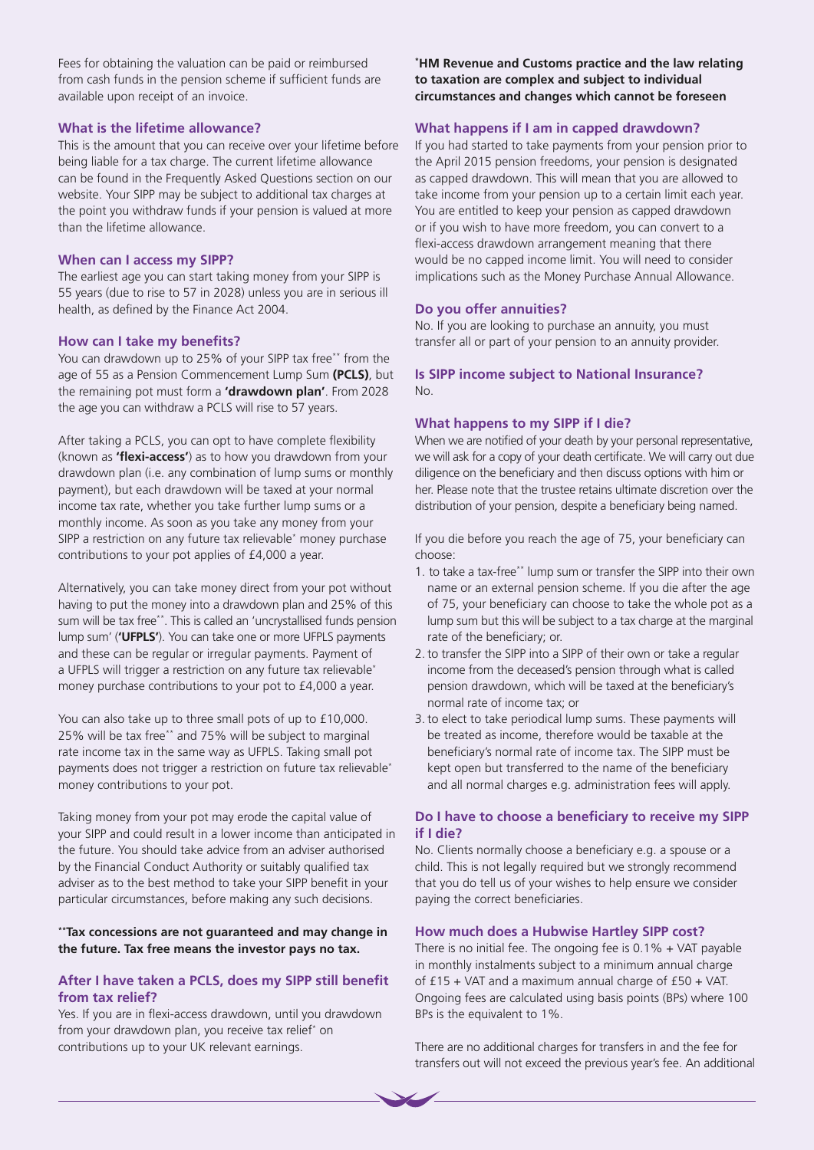Fees for obtaining the valuation can be paid or reimbursed from cash funds in the pension scheme if sufficient funds are available upon receipt of an invoice.

## **What is the lifetime allowance?**

This is the amount that you can receive over your lifetime before being liable for a tax charge. The current lifetime allowance can be found in the Frequently Asked Questions section on our website. Your SIPP may be subject to additional tax charges at the point you withdraw funds if your pension is valued at more than the lifetime allowance.

## **When can I access my SIPP?**

The earliest age you can start taking money from your SIPP is 55 years (due to rise to 57 in 2028) unless you are in serious ill health, as defined by the Finance Act 2004.

## **How can I take my benefits?**

You can drawdown up to 25% of your SIPP tax free\*\* from the age of 55 as a Pension Commencement Lump Sum **(PCLS)**, but the remaining pot must form a **'drawdown plan'**. From 2028 the age you can withdraw a PCLS will rise to 57 years.

After taking a PCLS, you can opt to have complete flexibility (known as **'flexi-access'**) as to how you drawdown from your drawdown plan (i.e. any combination of lump sums or monthly payment), but each drawdown will be taxed at your normal income tax rate, whether you take further lump sums or a monthly income. As soon as you take any money from your SIPP a restriction on any future tax relievable\* money purchase contributions to your pot applies of £4,000 a year.

Alternatively, you can take money direct from your pot without having to put the money into a drawdown plan and 25% of this sum will be tax free\*\*. This is called an 'uncrystallised funds pension lump sum' (**'UFPLS'**). You can take one or more UFPLS payments and these can be regular or irregular payments. Payment of a UFPLS will trigger a restriction on any future tax relievable<sup>\*</sup> money purchase contributions to your pot to £4,000 a year.

You can also take up to three small pots of up to £10,000. 25% will be tax free\*\* and 75% will be subject to marginal rate income tax in the same way as UFPLS. Taking small pot payments does not trigger a restriction on future tax relievable<sup>\*</sup> money contributions to your pot.

Taking money from your pot may erode the capital value of your SIPP and could result in a lower income than anticipated in the future. You should take advice from an adviser authorised by the Financial Conduct Authority or suitably qualified tax adviser as to the best method to take your SIPP benefit in your particular circumstances, before making any such decisions.

## **\*\*Tax concessions are not guaranteed and may change in the future. Tax free means the investor pays no tax.**

## **After I have taken a PCLS, does my SIPP still benefit from tax relief?**

Yes. If you are in flexi-access drawdown, until you drawdown from your drawdown plan, you receive tax relief\* on contributions up to your UK relevant earnings.

**\* HM Revenue and Customs practice and the law relating to taxation are complex and subject to individual circumstances and changes which cannot be foreseen**

## **What happens if I am in capped drawdown?**

If you had started to take payments from your pension prior to the April 2015 pension freedoms, your pension is designated as capped drawdown. This will mean that you are allowed to take income from your pension up to a certain limit each year. You are entitled to keep your pension as capped drawdown or if you wish to have more freedom, you can convert to a flexi-access drawdown arrangement meaning that there would be no capped income limit. You will need to consider implications such as the Money Purchase Annual Allowance.

## **Do you offer annuities?**

No. If you are looking to purchase an annuity, you must transfer all or part of your pension to an annuity provider.

## **Is SIPP income subject to National Insurance?**  $N<sub>0</sub>$

#### **What happens to my SIPP if I die?**

When we are notified of your death by your personal representative, we will ask for a copy of your death certificate. We will carry out due diligence on the beneficiary and then discuss options with him or her. Please note that the trustee retains ultimate discretion over the distribution of your pension, despite a beneficiary being named.

If you die before you reach the age of 75, your beneficiary can choose:

- 1. to take a tax-free\*\* lump sum or transfer the SIPP into their own name or an external pension scheme. If you die after the age of 75, your beneficiary can choose to take the whole pot as a lump sum but this will be subject to a tax charge at the marginal rate of the beneficiary; or.
- 2. to transfer the SIPP into a SIPP of their own or take a regular income from the deceased's pension through what is called pension drawdown, which will be taxed at the beneficiary's normal rate of income tax; or
- 3. to elect to take periodical lump sums. These payments will be treated as income, therefore would be taxable at the beneficiary's normal rate of income tax. The SIPP must be kept open but transferred to the name of the beneficiary and all normal charges e.g. administration fees will apply.

## **Do I have to choose a beneficiary to receive my SIPP if I die?**

No. Clients normally choose a beneficiary e.g. a spouse or a child. This is not legally required but we strongly recommend that you do tell us of your wishes to help ensure we consider paying the correct beneficiaries.

## **How much does a Hubwise Hartley SIPP cost?**

There is no initial fee. The ongoing fee is  $0.1\% + VAT$  payable in monthly instalments subject to a minimum annual charge of £15 + VAT and a maximum annual charge of £50 + VAT. Ongoing fees are calculated using basis points (BPs) where 100 BPs is the equivalent to 1%.

There are no additional charges for transfers in and the fee for transfers out will not exceed the previous year's fee. An additional